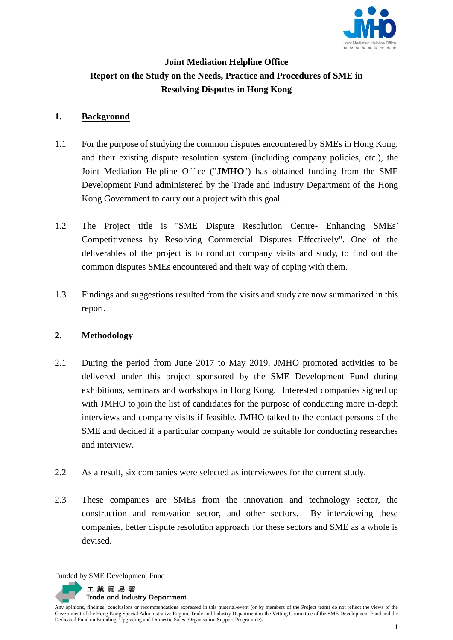

# **Joint Mediation Helpline Office Report on the Study on the Needs, Practice and Procedures of SME in Resolving Disputes in Hong Kong**

## **1. Background**

- 1.1 For the purpose of studying the common disputes encountered by SMEs in Hong Kong, and their existing dispute resolution system (including company policies, etc.), the Joint Mediation Helpline Office ("**JMHO**") has obtained funding from the SME Development Fund administered by the Trade and Industry Department of the Hong Kong Government to carry out a project with this goal.
- 1.2 The Project title is "SME Dispute Resolution Centre- Enhancing SMEs' Competitiveness by Resolving Commercial Disputes Effectively". One of the deliverables of the project is to conduct company visits and study, to find out the common disputes SMEs encountered and their way of coping with them.
- 1.3 Findings and suggestions resulted from the visits and study are now summarized in this report.

## **2. Methodology**

- 2.1 During the period from June 2017 to May 2019, JMHO promoted activities to be delivered under this project sponsored by the SME Development Fund during exhibitions, seminars and workshops in Hong Kong. Interested companies signed up with JMHO to join the list of candidates for the purpose of conducting more in-depth interviews and company visits if feasible. JMHO talked to the contact persons of the SME and decided if a particular company would be suitable for conducting researches and interview.
- 2.2 As a result, six companies were selected as interviewees for the current study.
- 2.3 These companies are SMEs from the innovation and technology sector, the construction and renovation sector, and other sectors. By interviewing these companies, better dispute resolution approach for these sectors and SME as a whole is devised.

Funded by SME Development Fund

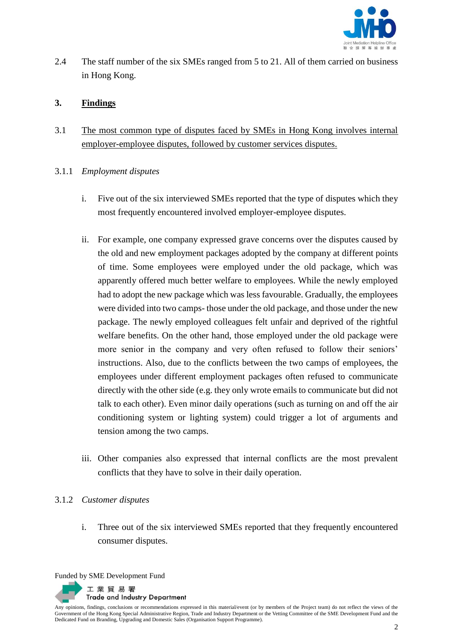

2.4 The staff number of the six SMEs ranged from 5 to 21. All of them carried on business in Hong Kong.

#### **3. Findings**

- 3.1 The most common type of disputes faced by SMEs in Hong Kong involves internal employer-employee disputes, followed by customer services disputes.
- 3.1.1 *Employment disputes*
	- i. Five out of the six interviewed SMEs reported that the type of disputes which they most frequently encountered involved employer-employee disputes.
	- ii. For example, one company expressed grave concerns over the disputes caused by the old and new employment packages adopted by the company at different points of time. Some employees were employed under the old package, which was apparently offered much better welfare to employees. While the newly employed had to adopt the new package which was less favourable. Gradually, the employees were divided into two camps- those under the old package, and those under the new package. The newly employed colleagues felt unfair and deprived of the rightful welfare benefits. On the other hand, those employed under the old package were more senior in the company and very often refused to follow their seniors' instructions. Also, due to the conflicts between the two camps of employees, the employees under different employment packages often refused to communicate directly with the other side (e.g. they only wrote emails to communicate but did not talk to each other). Even minor daily operations (such as turning on and off the air conditioning system or lighting system) could trigger a lot of arguments and tension among the two camps.
	- iii. Other companies also expressed that internal conflicts are the most prevalent conflicts that they have to solve in their daily operation.

#### 3.1.2 *Customer disputes*

i. Three out of the six interviewed SMEs reported that they frequently encountered consumer disputes.

Funded by SME Development Fund

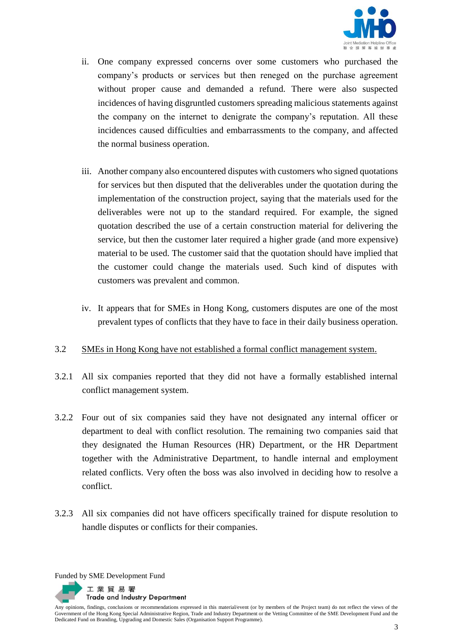

- ii. One company expressed concerns over some customers who purchased the company's products or services but then reneged on the purchase agreement without proper cause and demanded a refund. There were also suspected incidences of having disgruntled customers spreading malicious statements against the company on the internet to denigrate the company's reputation. All these incidences caused difficulties and embarrassments to the company, and affected the normal business operation.
- iii. Another company also encountered disputes with customers who signed quotations for services but then disputed that the deliverables under the quotation during the implementation of the construction project, saying that the materials used for the deliverables were not up to the standard required. For example, the signed quotation described the use of a certain construction material for delivering the service, but then the customer later required a higher grade (and more expensive) material to be used. The customer said that the quotation should have implied that the customer could change the materials used. Such kind of disputes with customers was prevalent and common.
- iv. It appears that for SMEs in Hong Kong, customers disputes are one of the most prevalent types of conflicts that they have to face in their daily business operation.

## 3.2 SMEs in Hong Kong have not established a formal conflict management system.

- 3.2.1 All six companies reported that they did not have a formally established internal conflict management system.
- 3.2.2 Four out of six companies said they have not designated any internal officer or department to deal with conflict resolution. The remaining two companies said that they designated the Human Resources (HR) Department, or the HR Department together with the Administrative Department, to handle internal and employment related conflicts. Very often the boss was also involved in deciding how to resolve a conflict.
- 3.2.3 All six companies did not have officers specifically trained for dispute resolution to handle disputes or conflicts for their companies.

Funded by SME Development Fund

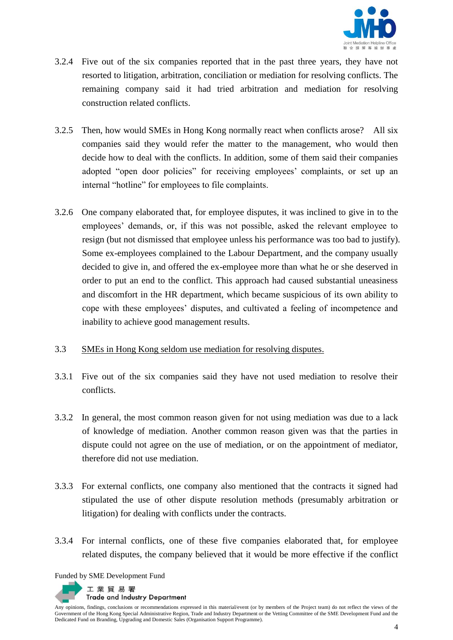

- 3.2.4 Five out of the six companies reported that in the past three years, they have not resorted to litigation, arbitration, conciliation or mediation for resolving conflicts. The remaining company said it had tried arbitration and mediation for resolving construction related conflicts.
- 3.2.5 Then, how would SMEs in Hong Kong normally react when conflicts arose? All six companies said they would refer the matter to the management, who would then decide how to deal with the conflicts. In addition, some of them said their companies adopted "open door policies" for receiving employees' complaints, or set up an internal "hotline" for employees to file complaints.
- 3.2.6 One company elaborated that, for employee disputes, it was inclined to give in to the employees' demands, or, if this was not possible, asked the relevant employee to resign (but not dismissed that employee unless his performance was too bad to justify). Some ex-employees complained to the Labour Department, and the company usually decided to give in, and offered the ex-employee more than what he or she deserved in order to put an end to the conflict. This approach had caused substantial uneasiness and discomfort in the HR department, which became suspicious of its own ability to cope with these employees' disputes, and cultivated a feeling of incompetence and inability to achieve good management results.

## 3.3 SMEs in Hong Kong seldom use mediation for resolving disputes.

- 3.3.1 Five out of the six companies said they have not used mediation to resolve their conflicts.
- 3.3.2 In general, the most common reason given for not using mediation was due to a lack of knowledge of mediation. Another common reason given was that the parties in dispute could not agree on the use of mediation, or on the appointment of mediator, therefore did not use mediation.
- 3.3.3 For external conflicts, one company also mentioned that the contracts it signed had stipulated the use of other dispute resolution methods (presumably arbitration or litigation) for dealing with conflicts under the contracts.
- 3.3.4 For internal conflicts, one of these five companies elaborated that, for employee related disputes, the company believed that it would be more effective if the conflict

Funded by SME Development Fund

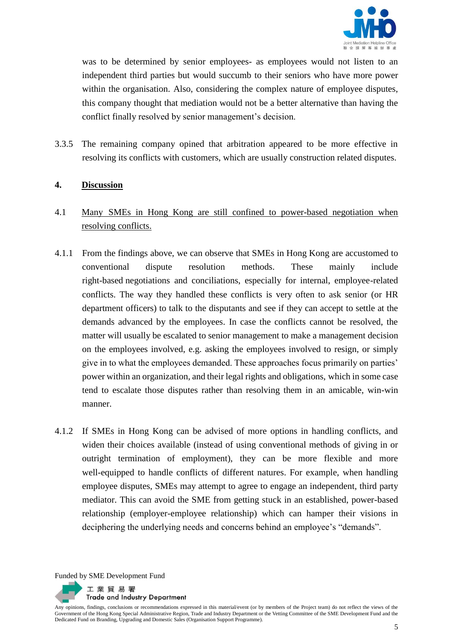

was to be determined by senior employees- as employees would not listen to an independent third parties but would succumb to their seniors who have more power within the organisation. Also, considering the complex nature of employee disputes, this company thought that mediation would not be a better alternative than having the conflict finally resolved by senior management's decision.

3.3.5 The remaining company opined that arbitration appeared to be more effective in resolving its conflicts with customers, which are usually construction related disputes.

## **4. Discussion**

- 4.1 Many SMEs in Hong Kong are still confined to power-based negotiation when resolving conflicts.
- 4.1.1 From the findings above, we can observe that SMEs in Hong Kong are accustomed to conventional dispute resolution methods. These mainly include right-based negotiations and conciliations, especially for internal, employee-related conflicts. The way they handled these conflicts is very often to ask senior (or HR department officers) to talk to the disputants and see if they can accept to settle at the demands advanced by the employees. In case the conflicts cannot be resolved, the matter will usually be escalated to senior management to make a management decision on the employees involved, e.g. asking the employees involved to resign, or simply give in to what the employees demanded. These approaches focus primarily on parties' power within an organization, and their legal rights and obligations, which in some case tend to escalate those disputes rather than resolving them in an amicable, win-win manner.
- 4.1.2 If SMEs in Hong Kong can be advised of more options in handling conflicts, and widen their choices available (instead of using conventional methods of giving in or outright termination of employment), they can be more flexible and more well-equipped to handle conflicts of different natures. For example, when handling employee disputes, SMEs may attempt to agree to engage an independent, third party mediator. This can avoid the SME from getting stuck in an established, power-based relationship (employer-employee relationship) which can hamper their visions in deciphering the underlying needs and concerns behind an employee's "demands".

Funded by SME Development Fund

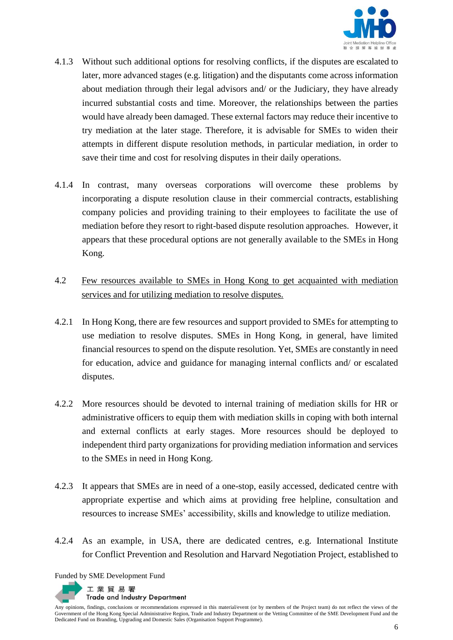

- 4.1.3 Without such additional options for resolving conflicts, if the disputes are escalated to later, more advanced stages (e.g. litigation) and the disputants come across information about mediation through their legal advisors and/ or the Judiciary, they have already incurred substantial costs and time. Moreover, the relationships between the parties would have already been damaged. These external factors may reduce their incentive to try mediation at the later stage. Therefore, it is advisable for SMEs to widen their attempts in different dispute resolution methods, in particular mediation, in order to save their time and cost for resolving disputes in their daily operations.
- 4.1.4 In contrast, many overseas corporations will overcome these problems by incorporating a dispute resolution clause in their commercial contracts, establishing company policies and providing training to their employees to facilitate the use of mediation before they resort to right-based dispute resolution approaches. However, it appears that these procedural options are not generally available to the SMEs in Hong Kong.
- 4.2 Few resources available to SMEs in Hong Kong to get acquainted with mediation services and for utilizing mediation to resolve disputes.
- 4.2.1 In Hong Kong, there are few resources and support provided to SMEs for attempting to use mediation to resolve disputes. SMEs in Hong Kong, in general, have limited financial resources to spend on the dispute resolution. Yet, SMEs are constantly in need for education, advice and guidance for managing internal conflicts and/ or escalated disputes.
- 4.2.2 More resources should be devoted to internal training of mediation skills for HR or administrative officers to equip them with mediation skills in coping with both internal and external conflicts at early stages. More resources should be deployed to independent third party organizations for providing mediation information and services to the SMEs in need in Hong Kong.
- 4.2.3 It appears that SMEs are in need of a one-stop, easily accessed, dedicated centre with appropriate expertise and which aims at providing free helpline, consultation and resources to increase SMEs' accessibility, skills and knowledge to utilize mediation.
- 4.2.4 As an example, in USA, there are dedicated centres, e.g. International Institute for Conflict Prevention and Resolution and Harvard Negotiation Project, established to

Funded by SME Development Fund

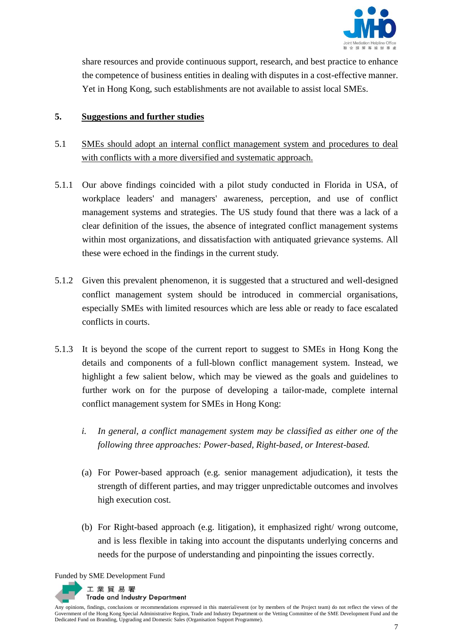

share resources and provide continuous support, research, and best practice to enhance the competence of business entities in dealing with disputes in a cost-effective manner. Yet in Hong Kong, such establishments are not available to assist local SMEs.

#### **5. Suggestions and further studies**

- 5.1 SMEs should adopt an internal conflict management system and procedures to deal with conflicts with a more diversified and systematic approach.
- 5.1.1 Our above findings coincided with a pilot study conducted in Florida in USA, of workplace leaders' and managers' awareness, perception, and use of conflict management systems and strategies. The US study found that there was a lack of a clear definition of the issues, the absence of integrated conflict management systems within most organizations, and dissatisfaction with antiquated grievance systems. All these were echoed in the findings in the current study.
- 5.1.2 Given this prevalent phenomenon, it is suggested that a structured and well-designed conflict management system should be introduced in commercial organisations, especially SMEs with limited resources which are less able or ready to face escalated conflicts in courts.
- 5.1.3 It is beyond the scope of the current report to suggest to SMEs in Hong Kong the details and components of a full-blown conflict management system. Instead, we highlight a few salient below, which may be viewed as the goals and guidelines to further work on for the purpose of developing a tailor-made, complete internal conflict management system for SMEs in Hong Kong:
	- *i. In general, a conflict management system may be classified as either one of the following three approaches: Power-based, Right-based, or Interest-based.*
	- (a) For Power-based approach (e.g. senior management adjudication), it tests the strength of different parties, and may trigger unpredictable outcomes and involves high execution cost.
	- (b) For Right-based approach (e.g. litigation), it emphasized right/ wrong outcome, and is less flexible in taking into account the disputants underlying concerns and needs for the purpose of understanding and pinpointing the issues correctly.

Funded by SME Development Fund

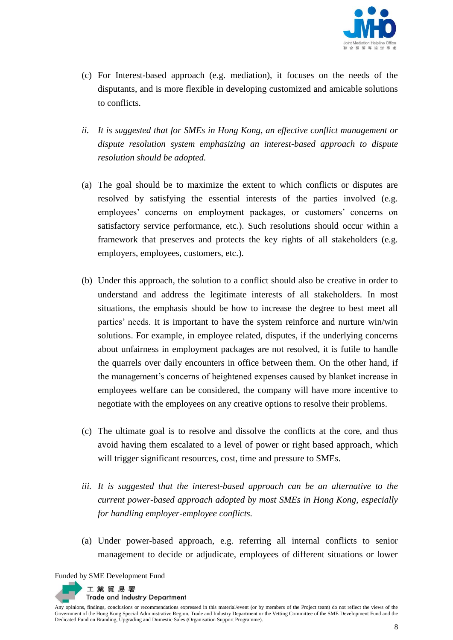

- (c) For Interest-based approach (e.g. mediation), it focuses on the needs of the disputants, and is more flexible in developing customized and amicable solutions to conflicts.
- *ii. It is suggested that for SMEs in Hong Kong, an effective conflict management or dispute resolution system emphasizing an interest-based approach to dispute resolution should be adopted.*
- (a) The goal should be to maximize the extent to which conflicts or disputes are resolved by satisfying the essential interests of the parties involved (e.g. employees' concerns on employment packages, or customers' concerns on satisfactory service performance, etc.). Such resolutions should occur within a framework that preserves and protects the key rights of all stakeholders (e.g. employers, employees, customers, etc.).
- (b) Under this approach, the solution to a conflict should also be creative in order to understand and address the legitimate interests of all stakeholders. In most situations, the emphasis should be how to increase the degree to best meet all parties' needs. It is important to have the system reinforce and nurture win/win solutions. For example, in employee related, disputes, if the underlying concerns about unfairness in employment packages are not resolved, it is futile to handle the quarrels over daily encounters in office between them. On the other hand, if the management's concerns of heightened expenses caused by blanket increase in employees welfare can be considered, the company will have more incentive to negotiate with the employees on any creative options to resolve their problems.
- (c) The ultimate goal is to resolve and dissolve the conflicts at the core, and thus avoid having them escalated to a level of power or right based approach, which will trigger significant resources, cost, time and pressure to SMEs.
- *iii. It is suggested that the interest-based approach can be an alternative to the current power-based approach adopted by most SMEs in Hong Kong, especially for handling employer-employee conflicts.*
- (a) Under power-based approach, e.g. referring all internal conflicts to senior management to decide or adjudicate, employees of different situations or lower

Funded by SME Development Fund

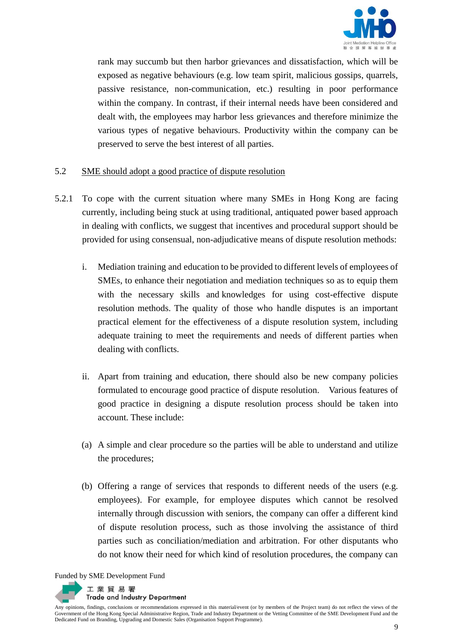

rank may succumb but then harbor grievances and dissatisfaction, which will be exposed as negative behaviours (e.g. low team spirit, malicious gossips, quarrels, passive resistance, non-communication, etc.) resulting in poor performance within the company. In contrast, if their internal needs have been considered and dealt with, the employees may harbor less grievances and therefore minimize the various types of negative behaviours. Productivity within the company can be preserved to serve the best interest of all parties.

## 5.2 SME should adopt a good practice of dispute resolution

- 5.2.1 To cope with the current situation where many SMEs in Hong Kong are facing currently, including being stuck at using traditional, antiquated power based approach in dealing with conflicts, we suggest that incentives and procedural support should be provided for using consensual, non-adjudicative means of dispute resolution methods:
	- i. Mediation training and education to be provided to different levels of employees of SMEs, to enhance their negotiation and mediation techniques so as to equip them with the necessary skills and knowledges for using cost-effective dispute resolution methods. The quality of those who handle disputes is an important practical element for the effectiveness of a dispute resolution system, including adequate training to meet the requirements and needs of different parties when dealing with conflicts.
	- ii. Apart from training and education, there should also be new company policies formulated to encourage good practice of dispute resolution. Various features of good practice in designing a dispute resolution process should be taken into account. These include:
	- (a) A simple and clear procedure so the parties will be able to understand and utilize the procedures;
	- (b) Offering a range of services that responds to different needs of the users (e.g. employees). For example, for employee disputes which cannot be resolved internally through discussion with seniors, the company can offer a different kind of dispute resolution process, such as those involving the assistance of third parties such as conciliation/mediation and arbitration. For other disputants who do not know their need for which kind of resolution procedures, the company can

Funded by SME Development Fund

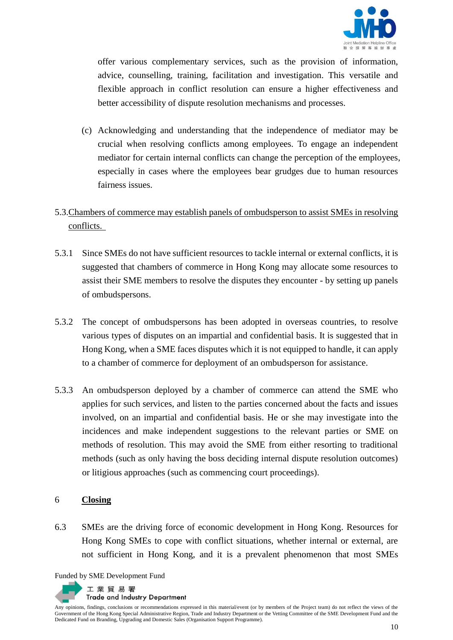

offer various complementary services, such as the provision of information, advice, counselling, training, facilitation and investigation. This versatile and flexible approach in conflict resolution can ensure a higher effectiveness and better accessibility of dispute resolution mechanisms and processes.

- (c) Acknowledging and understanding that the independence of mediator may be crucial when resolving conflicts among employees. To engage an independent mediator for certain internal conflicts can change the perception of the employees, especially in cases where the employees bear grudges due to human resources fairness issues.
- 5.3.Chambers of commerce may establish panels of ombudsperson to assist SMEs in resolving conflicts.
- 5.3.1 Since SMEs do not have sufficient resources to tackle internal or external conflicts, it is suggested that chambers of commerce in Hong Kong may allocate some resources to assist their SME members to resolve the disputes they encounter - by setting up panels of ombudspersons.
- 5.3.2 The concept of ombudspersons has been adopted in overseas countries, to resolve various types of disputes on an impartial and confidential basis. It is suggested that in Hong Kong, when a SME faces disputes which it is not equipped to handle, it can apply to a chamber of commerce for deployment of an ombudsperson for assistance.
- 5.3.3 An ombudsperson deployed by a chamber of commerce can attend the SME who applies for such services, and listen to the parties concerned about the facts and issues involved, on an impartial and confidential basis. He or she may investigate into the incidences and make independent suggestions to the relevant parties or SME on methods of resolution. This may avoid the SME from either resorting to traditional methods (such as only having the boss deciding internal dispute resolution outcomes) or litigious approaches (such as commencing court proceedings).

#### 6 **Closing**

6.3 SMEs are the driving force of economic development in Hong Kong. Resources for Hong Kong SMEs to cope with conflict situations, whether internal or external, are not sufficient in Hong Kong, and it is a prevalent phenomenon that most SMEs

Funded by SME Development Fund